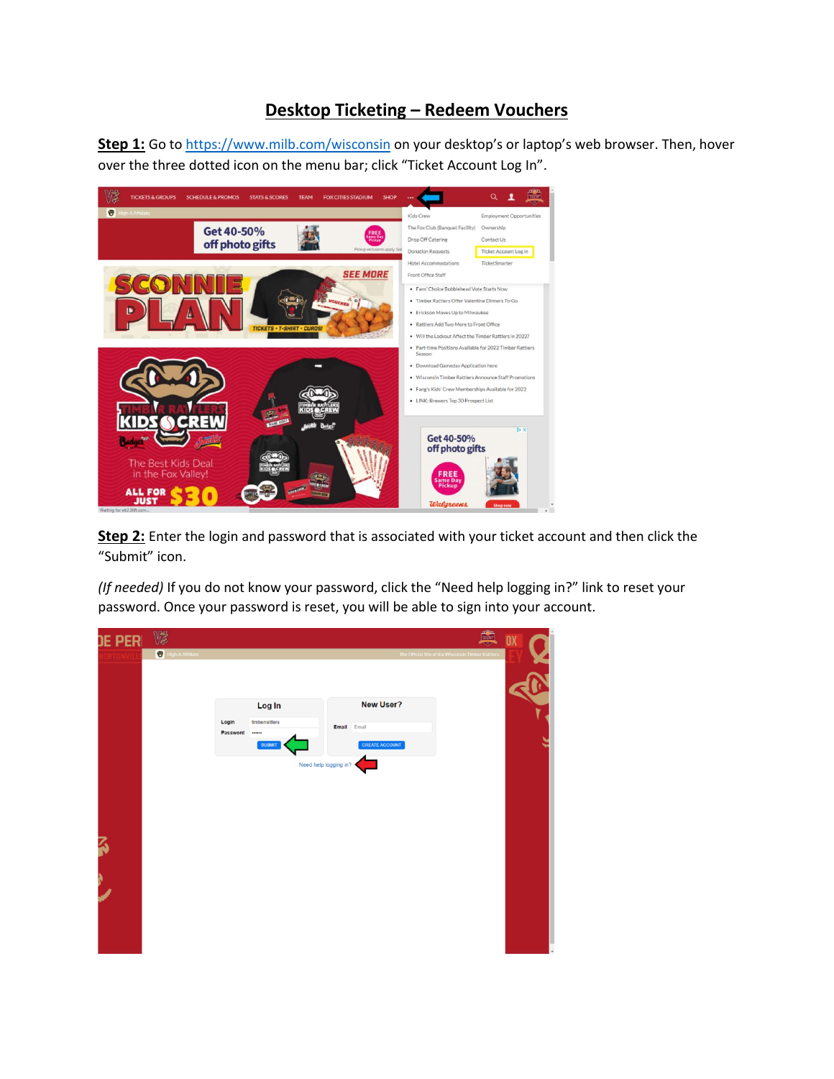## **Desktop Ticketing – Redeem Vouchers**

**Step 1:** Go to<https://www.milb.com/wisconsin> on your desktop's or laptop's web browser. Then, hover over the three dotted icon on the menu bar; click "Ticket Account Log In".



**Step 2:** Enter the login and password that is associated with your ticket account and then click the "Submit" icon.

*(If needed)* If you do not know your password, click the "Need help logging in?" link to reset your password. Once your password is reset, you will be able to sign into your account.

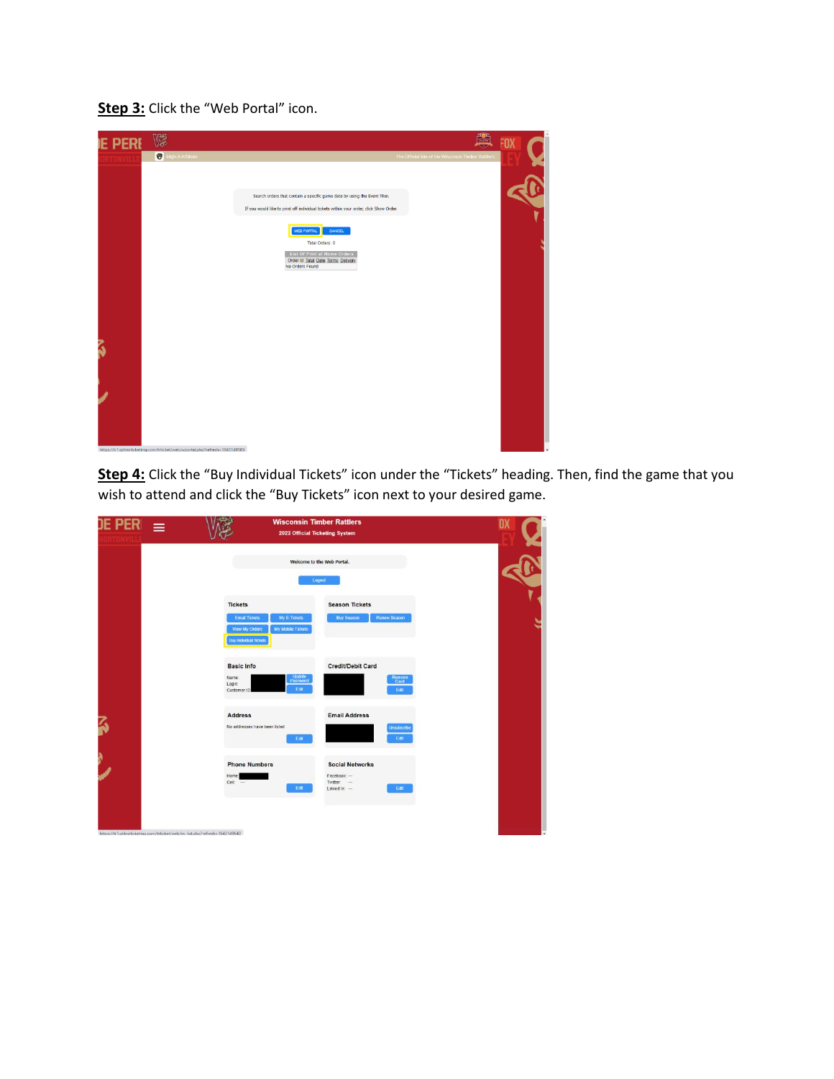## **Step 3:** Click the "Web Portal" icon.



**Step 4:** Click the "Buy Individual Tickets" icon under the "Tickets" heading. Then, find the game that you wish to attend and click the "Buy Tickets" icon next to your desired game.

| <b>JE PER</b><br>$\equiv$                                                    |                                                                                                                                | <b>Wisconsin Timber Rattlers</b><br>2022 Official Ticketing System          | 'OX |
|------------------------------------------------------------------------------|--------------------------------------------------------------------------------------------------------------------------------|-----------------------------------------------------------------------------|-----|
|                                                                              |                                                                                                                                | Welcome to the Web Portal.<br>Logout                                        |     |
|                                                                              | <b>Tickets</b><br><b>Email Tickets</b><br>My E-Tickets<br>My Mobile Tickets<br>View My Orders<br><b>Buy Individual Tickets</b> | <b>Season Tickets</b><br><b>Buy Season</b><br><b>Renew Season</b>           |     |
|                                                                              | <b>Basic Info</b><br>Update<br>Password<br>Name:<br>Login:<br>Edit<br>Customer ID                                              | Credit/Debit Card<br>Remove<br>Card<br>Edit                                 |     |
| 3                                                                            | <b>Address</b><br>No addresses have been listed<br>Edit                                                                        | <b>Email Address</b><br>Unsubscribe<br>Edit                                 |     |
| À                                                                            | <b>Phone Numbers</b><br>Home:<br>Cet.<br>Edit                                                                                  | <b>Social Networks</b><br>Facebook: --<br>Twitter:<br>Edit<br>Linked In: -- |     |
| https://tr1.glitnirticketing.com/trticket/web/ev list.php?refresh=1643149640 |                                                                                                                                |                                                                             |     |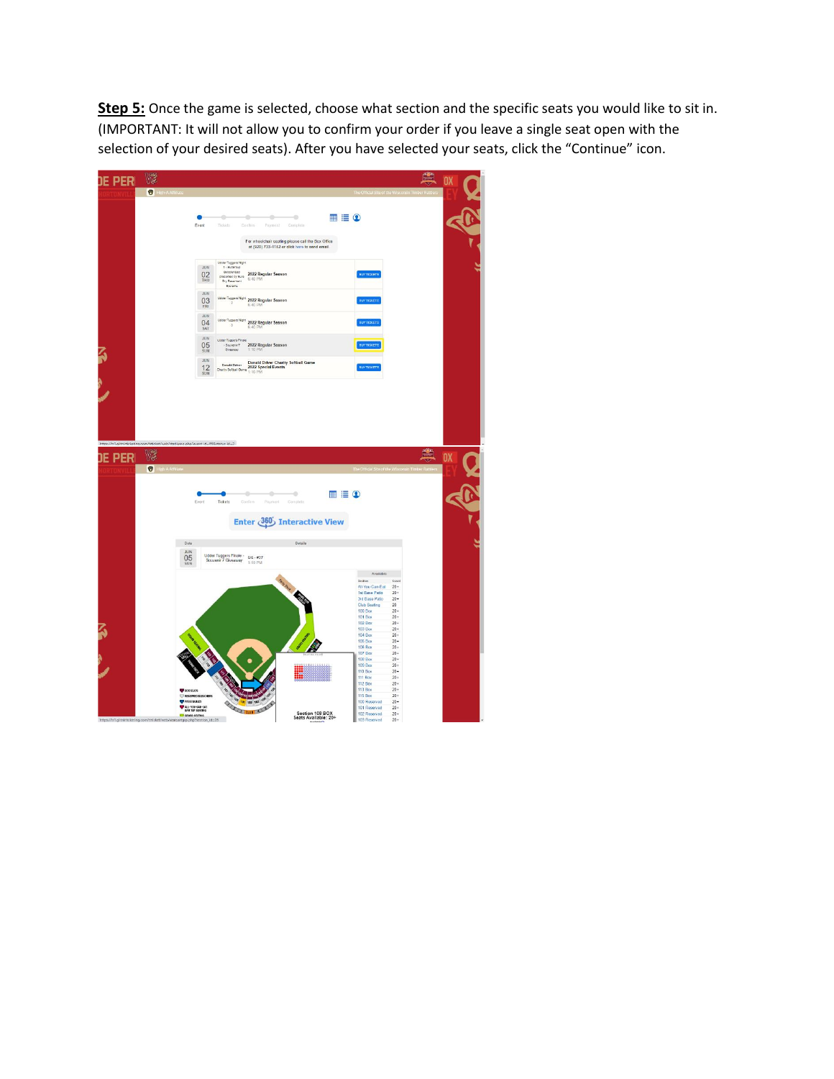**Step 5:** Once the game is selected, choose what section and the specific seats you would like to sit in. (IMPORTANT: It will not allow you to confirm your order if you leave a single seat open with the selection of your desired seats). After you have selected your seats, click the "Continue" icon.

| <b>JE PERI</b>         | V                                                                                  |                                                    |                                                                                                                                     |                                                                                                     |                              |                                  | 鹽                                                  | OX        |  |
|------------------------|------------------------------------------------------------------------------------|----------------------------------------------------|-------------------------------------------------------------------------------------------------------------------------------------|-----------------------------------------------------------------------------------------------------|------------------------------|----------------------------------|----------------------------------------------------|-----------|--|
|                        | <b>D</b> High-A Affiliate                                                          |                                                    |                                                                                                                                     |                                                                                                     |                              |                                  |                                                    |           |  |
|                        |                                                                                    |                                                    |                                                                                                                                     |                                                                                                     |                              |                                  |                                                    |           |  |
|                        |                                                                                    |                                                    | ó<br>ö<br>٠                                                                                                                         | o                                                                                                   | $\blacksquare \equiv \Omega$ |                                  |                                                    |           |  |
|                        |                                                                                    | Event                                              | Ticketh<br>Chestians.<br>Payment                                                                                                    | Complain                                                                                            |                              |                                  |                                                    |           |  |
|                        |                                                                                    |                                                    |                                                                                                                                     | For wheelchair seating please call the Box Office<br>at (920) 733-4152 or click here to send email. |                              |                                  |                                                    |           |  |
|                        |                                                                                    |                                                    |                                                                                                                                     |                                                                                                     |                              |                                  |                                                    |           |  |
|                        |                                                                                    | <b>JUN</b><br>02<br>THU                            | Udder Tuggers Night<br> - Butteroup<br>Doccienent<br>presented by Sure<br>2022 Regular Season<br>6:40 PM<br>Dry Basement<br>Systems |                                                                                                     |                              | BUY TICKETS                      |                                                    |           |  |
|                        |                                                                                    | M.H.<br>03<br>FRI                                  | <b>Udder Tuggers Night 2022 Rogular Season</b><br>6:40 PM                                                                           |                                                                                                     |                              | BUY TICKETS                      |                                                    |           |  |
|                        |                                                                                    | JUN.<br>04<br>SAT                                  | Udder Tuggers Night 2022 Regular Season<br>6:40 PM                                                                                  |                                                                                                     |                              | BUY TICKETS                      |                                                    |           |  |
|                        |                                                                                    | <b>JUN</b><br>05<br>SUN                            | Udder Tuggers Finale<br>2022 Regular Season<br>- Souvenir T<br>Oliveaway<br>1:10 PM                                                 |                                                                                                     |                              | BUY TIGKETS                      |                                                    |           |  |
|                        |                                                                                    | JUN <sup>1</sup><br>12<br>SUN                      | Donald Driver Donald Driver Charity Softball Game<br>Charity Softball Game<br>$\frac{2022}{1.10}$ PM                                |                                                                                                     |                              | <b>BUY TICKETS</b>               |                                                    |           |  |
| à                      |                                                                                    |                                                    |                                                                                                                                     |                                                                                                     |                              |                                  |                                                    |           |  |
|                        |                                                                                    |                                                    |                                                                                                                                     |                                                                                                     |                              |                                  |                                                    |           |  |
|                        |                                                                                    |                                                    |                                                                                                                                     |                                                                                                     |                              |                                  |                                                    |           |  |
|                        |                                                                                    |                                                    |                                                                                                                                     |                                                                                                     |                              |                                  |                                                    |           |  |
|                        |                                                                                    |                                                    |                                                                                                                                     |                                                                                                     |                              |                                  |                                                    |           |  |
|                        |                                                                                    |                                                    |                                                                                                                                     |                                                                                                     |                              |                                  |                                                    |           |  |
|                        | https://tr1.glitnirticketing.com/trticket/web/stadiumg.php?event_id=65&status_id=2 |                                                    |                                                                                                                                     |                                                                                                     |                              |                                  | $\blacksquare$                                     |           |  |
| <b>JE PER</b>          | W                                                                                  |                                                    |                                                                                                                                     |                                                                                                     |                              |                                  |                                                    | <b>OX</b> |  |
|                        | <b>D</b> High A Affiliate                                                          |                                                    |                                                                                                                                     |                                                                                                     |                              |                                  |                                                    |           |  |
|                        |                                                                                    |                                                    |                                                                                                                                     |                                                                                                     |                              |                                  | The Official Site of the Wisconsin Timber Rattlers |           |  |
|                        |                                                                                    |                                                    |                                                                                                                                     |                                                                                                     |                              |                                  |                                                    |           |  |
|                        |                                                                                    |                                                    | ۰<br>÷                                                                                                                              | ۰                                                                                                   | $\blacksquare \equiv \Omega$ |                                  |                                                    |           |  |
|                        |                                                                                    | Event                                              | Payroent<br>Tickets<br>Confirm                                                                                                      | Complete                                                                                            |                              |                                  |                                                    |           |  |
|                        |                                                                                    |                                                    | Enter 360 Interactive View                                                                                                          |                                                                                                     |                              |                                  |                                                    |           |  |
|                        |                                                                                    |                                                    |                                                                                                                                     |                                                                                                     |                              |                                  |                                                    |           |  |
|                        | Date                                                                               |                                                    |                                                                                                                                     | Details                                                                                             |                              |                                  |                                                    |           |  |
|                        | JUN<br>05                                                                          |                                                    | Udder Tuggers Finale -<br>$6/5 - 27$<br>Souvenir 7 Giveaway                                                                         |                                                                                                     |                              |                                  |                                                    |           |  |
|                        | SUN                                                                                |                                                    | 1:10 PM                                                                                                                             |                                                                                                     |                              |                                  |                                                    |           |  |
|                        |                                                                                    |                                                    |                                                                                                                                     |                                                                                                     |                              | Available<br>Saction             | Count                                              |           |  |
|                        |                                                                                    |                                                    |                                                                                                                                     |                                                                                                     |                              | All-You-Can-Eat                  | $20+$                                              |           |  |
|                        |                                                                                    |                                                    |                                                                                                                                     |                                                                                                     |                              | 1st Base Patio<br>3rd Base Patio | $20 +$<br>$20+$                                    |           |  |
|                        |                                                                                    |                                                    |                                                                                                                                     |                                                                                                     |                              | Club Seating                     | 20                                                 |           |  |
|                        |                                                                                    |                                                    |                                                                                                                                     |                                                                                                     |                              | 100 Box<br>101 Box               | $20+$<br>$20 +$                                    |           |  |
|                        |                                                                                    |                                                    |                                                                                                                                     |                                                                                                     |                              | 102 Box                          | $20 +$                                             |           |  |
|                        |                                                                                    |                                                    |                                                                                                                                     |                                                                                                     |                              | 103 Box                          | $20 +$                                             |           |  |
|                        |                                                                                    |                                                    |                                                                                                                                     |                                                                                                     |                              | 104 Box                          | $20 +$<br>$20 +$                                   |           |  |
|                        |                                                                                    |                                                    |                                                                                                                                     |                                                                                                     |                              | <b>105 Box</b><br>106 Box        | $20+$                                              |           |  |
|                        |                                                                                    |                                                    |                                                                                                                                     |                                                                                                     |                              | 107 Box                          | $20+$                                              |           |  |
| ŝ                      |                                                                                    |                                                    |                                                                                                                                     |                                                                                                     |                              | 108 Box                          | $20 +$                                             |           |  |
|                        |                                                                                    |                                                    |                                                                                                                                     |                                                                                                     |                              | 109 Box                          | $20 +$                                             |           |  |
|                        |                                                                                    |                                                    |                                                                                                                                     |                                                                                                     |                              | 110 Box<br><b>111 Box</b>        | $20+$<br>$20 +$                                    |           |  |
|                        |                                                                                    |                                                    |                                                                                                                                     |                                                                                                     |                              | 112 Box                          | $20 +$                                             |           |  |
|                        | <b>EXISTANS</b>                                                                    |                                                    |                                                                                                                                     |                                                                                                     |                              | <b>113 Box</b>                   | $20 +$                                             |           |  |
|                        |                                                                                    | RESERVED BLEACHERS                                 | $\frac{1}{2}$                                                                                                                       |                                                                                                     |                              | <b>115 Box</b>                   | $20 +$                                             |           |  |
|                        | PATIO TABLES                                                                       |                                                    |                                                                                                                                     |                                                                                                     |                              | 100 Reserved<br>101 Reserved     | $20 +$<br>$20 +$                                   |           |  |
| https://tr1.glitnirtic | eting.com/trtick                                                                   | ALL-YOU-CAN-EAT<br>C GRASS SEATING<br>gro.php?sect | 107 107 108 102 11<br>$d_{12}$ 26                                                                                                   | Section 108 BOX<br>Seats Available: 20+                                                             |                              | 102 Reserved<br>103 Reserved     | $20+$<br>$20 +$                                    |           |  |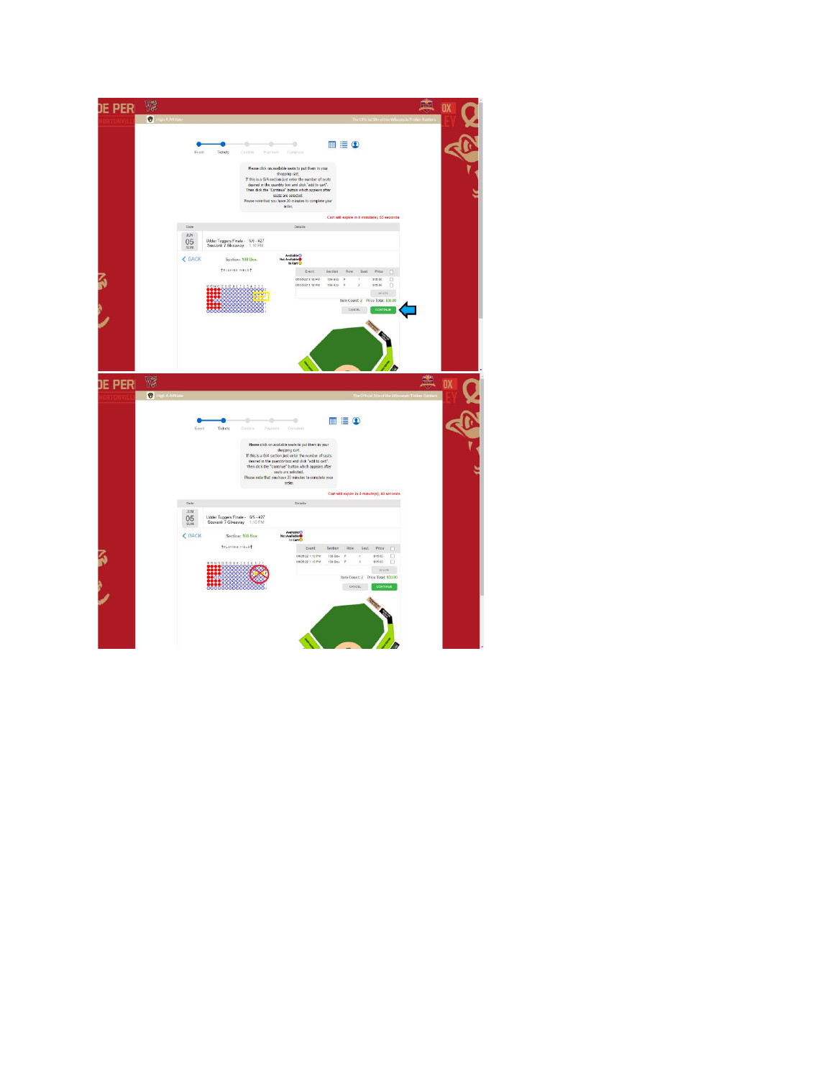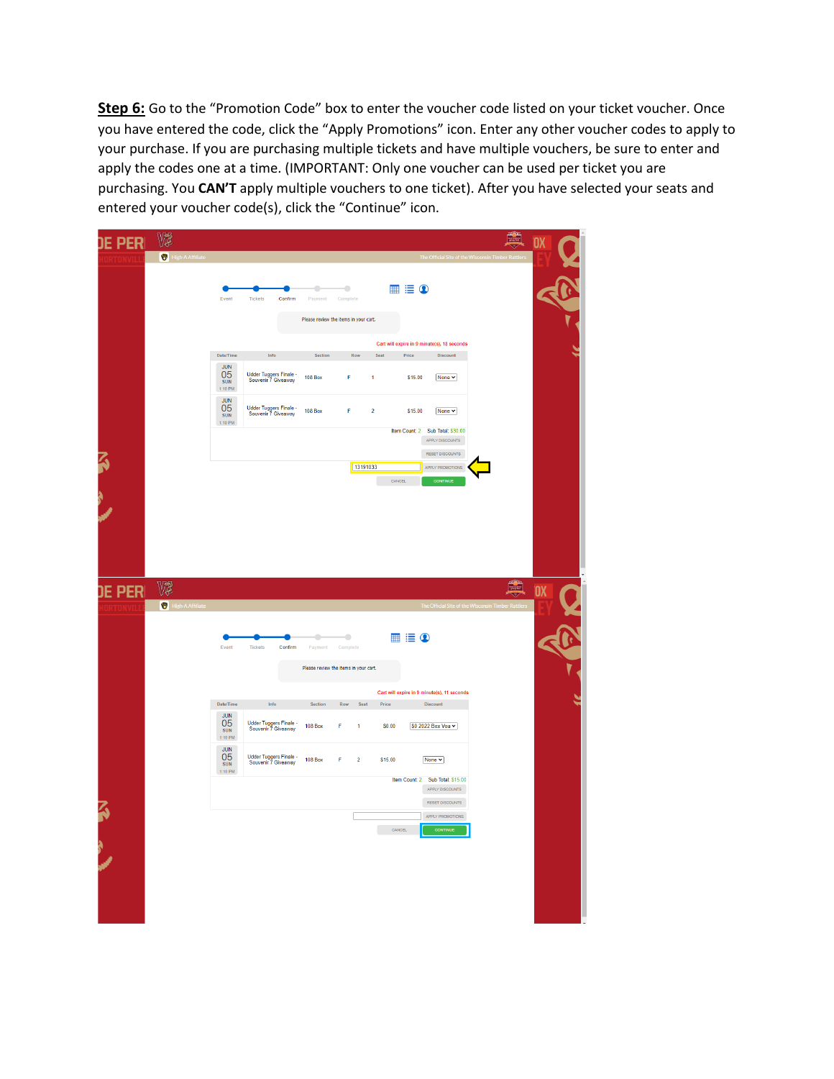**Step 6:** Go to the "Promotion Code" box to enter the voucher code listed on your ticket voucher. Once you have entered the code, click the "Apply Promotions" icon. Enter any other voucher codes to apply to your purchase. If you are purchasing multiple tickets and have multiple vouchers, be sure to enter and apply the codes one at a time. (IMPORTANT: Only one voucher can be used per ticket you are purchasing. You **CAN'T** apply multiple vouchers to one ticket). After you have selected your seats and entered your voucher code(s), click the "Continue" icon.